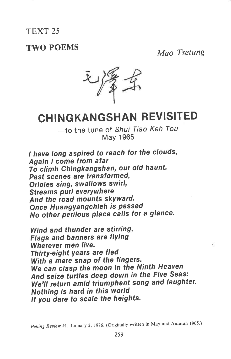## TEXT 25

## TWO POEMS Mao Tsetung



## CHING KANGSHAN REVISITED

-to the tune of Shui Tiao Keh Tou May 1965

I have long aspired to reach for the clouds, Again I come from atar To climb Chingkangshan, our old haunt. Past scenes are transformed, Orioles sing, swallows swirl, Streams purl everywhere And the road mounts skYward. Once Huangyangchieh is passed No other perilous place calls for a glance.

Wind and thunder are stirring. Flags and banners are flYing Wherever men live. Thirty-eight years are fled With a mere snap of the fingers. We can clasp the moon in the Ninth Heaven And seize turtles deep down in the Five Seas; We'll return amid triumphant song and laughter. Nothing is hard in this world If you dare to scale the heights.